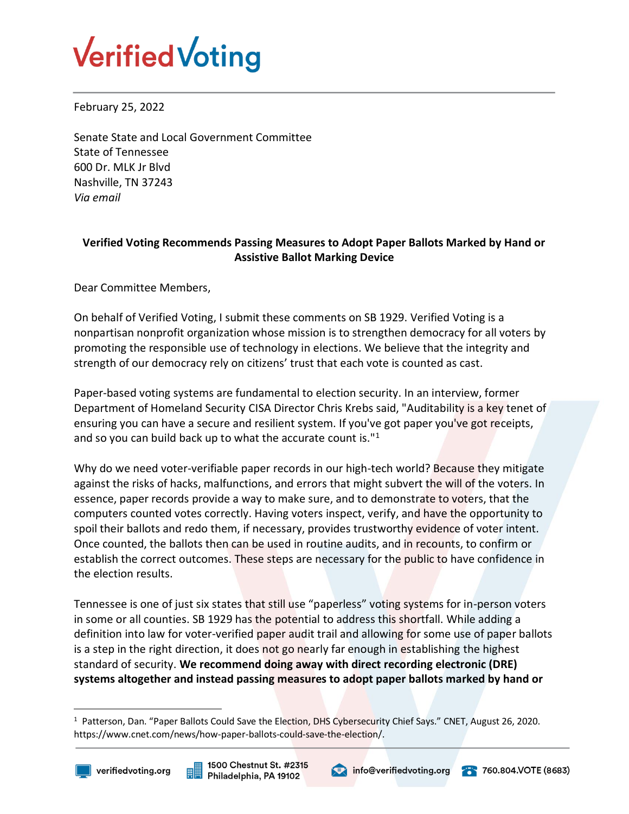

February 25, 2022

Senate State and Local Government Committee State of Tennessee 600 Dr. MLK Jr Blvd Nashville, TN 37243 *Via email*

## **Verified Voting Recommends Passing Measures to Adopt Paper Ballots Marked by Hand or Assistive Ballot Marking Device**

Dear Committee Members,

On behalf of Verified Voting, I submit these comments on SB 1929. Verified Voting is a nonpartisan nonprofit organization whose mission is to strengthen democracy for all voters by promoting the responsible use of technology in elections. We believe that the integrity and strength of our democracy rely on citizens' trust that each vote is counted as cast.

Paper-based voting systems are fundamental to election security. In an interview, former Department of Homeland Security CISA Director Chris Krebs said, "Auditability is a key tenet of ensuring you can have a secure and resilient system. If you've got paper you've got receipts, and so you can build back up to what the accurate count is."<sup>1</sup>

Why do we need voter-verifiable paper records in our high-tech world? Because they mitigate against the risks of hacks, malfunctions, and errors that might subvert the will of the voters. In essence, paper records provide a way to make sure, and to demonstrate to voters, that the computers counted votes correctly. Having voters inspect, verify, and have the opportunity to spoil their ballots and redo them, if necessary, provides trustworthy evidence of voter intent. Once counted, the ballots then can be used in routine audits, and in recounts, to confirm or establish the correct outcomes. These steps are necessary for the public to have confidence in the election results.

Tennessee is one of just six states that still use "paperless" voting systems for in-person voters in some or all counties. SB 1929 has the potential to address this shortfall. While adding a definition into law for voter-verified paper audit trail and allowing for some use of paper ballots is a step in the right direction, it does not go nearly far enough in establishing the highest standard of security. **We recommend doing away with direct recording electronic (DRE) systems altogether and instead passing measures to adopt paper ballots marked by hand or** 

 $\overline{a}$ 







<sup>1</sup> Patterson, Dan. "Paper Ballots Could Save the Election, DHS Cybersecurity Chief Says." CNET, August 26, 2020. https://www.cnet.com/news/how-paper-ballots-could-save-the-election/.